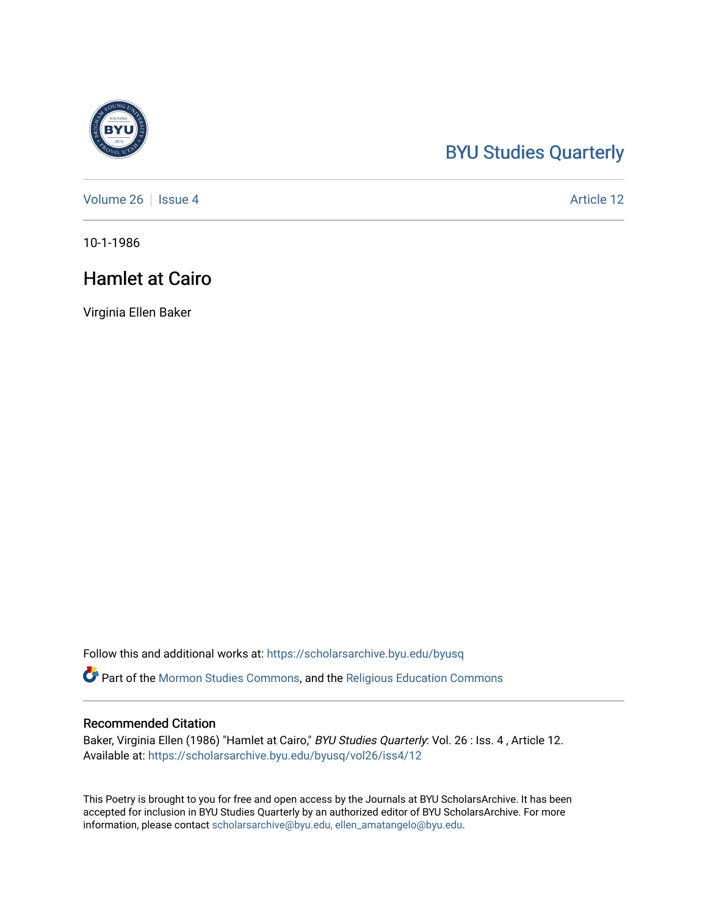## [BYU Studies Quarterly](https://scholarsarchive.byu.edu/byusq)

[Volume 26](https://scholarsarchive.byu.edu/byusq/vol26) | [Issue 4](https://scholarsarchive.byu.edu/byusq/vol26/iss4) Article 12

10-1-1986

## Hamlet at Cairo

Virginia Ellen Baker

Follow this and additional works at: [https://scholarsarchive.byu.edu/byusq](https://scholarsarchive.byu.edu/byusq?utm_source=scholarsarchive.byu.edu%2Fbyusq%2Fvol26%2Fiss4%2F12&utm_medium=PDF&utm_campaign=PDFCoverPages) 

Part of the [Mormon Studies Commons](http://network.bepress.com/hgg/discipline/1360?utm_source=scholarsarchive.byu.edu%2Fbyusq%2Fvol26%2Fiss4%2F12&utm_medium=PDF&utm_campaign=PDFCoverPages), and the [Religious Education Commons](http://network.bepress.com/hgg/discipline/1414?utm_source=scholarsarchive.byu.edu%2Fbyusq%2Fvol26%2Fiss4%2F12&utm_medium=PDF&utm_campaign=PDFCoverPages) 

## Recommended Citation

Baker, Virginia Ellen (1986) "Hamlet at Cairo," BYU Studies Quarterly: Vol. 26 : Iss. 4, Article 12. Available at: [https://scholarsarchive.byu.edu/byusq/vol26/iss4/12](https://scholarsarchive.byu.edu/byusq/vol26/iss4/12?utm_source=scholarsarchive.byu.edu%2Fbyusq%2Fvol26%2Fiss4%2F12&utm_medium=PDF&utm_campaign=PDFCoverPages) 

This Poetry is brought to you for free and open access by the Journals at BYU ScholarsArchive. It has been accepted for inclusion in BYU Studies Quarterly by an authorized editor of BYU ScholarsArchive. For more information, please contact [scholarsarchive@byu.edu, ellen\\_amatangelo@byu.edu.](mailto:scholarsarchive@byu.edu,%20ellen_amatangelo@byu.edu)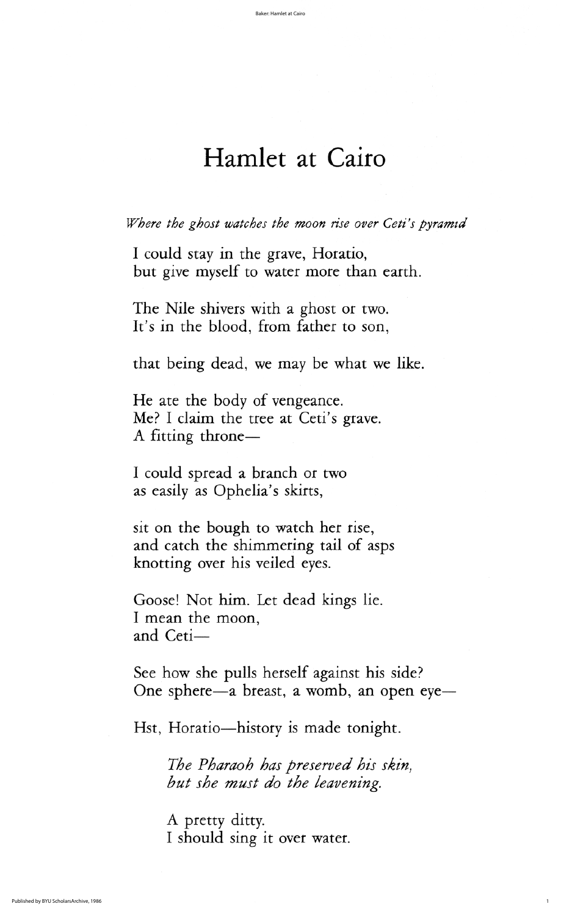I could stay in the grave, Horatio, but give myself to water more than earth

The Nile shivers with a ghost or two. It's in the blood, from father to son,

that being dead, we may be what we like.

He ate the body of vengeance. Me? I claim the tree at Ceti's grave. A fitting throne

<sup>1</sup>I could spread a branch or two

as easily as Ophelia's skirts,

sit on the bough to watch her rise, and catch the shimmering tail of asps knotting over his veiled eyes.

Goose! Not him. Let dead kings lie. I mean the moon, and Ceti-

See how she pulls herself against his side? One sphere—a breast, a womb, an open eye—

Hst, Horatio—history is made tonight.

The Pharaoh has preserved his skin, but she must do the leavening.

A pretty ditty I should sing it over water.

## Hamlet at Cairo

Where the ghost watches the moon rise over Ceti's pyramid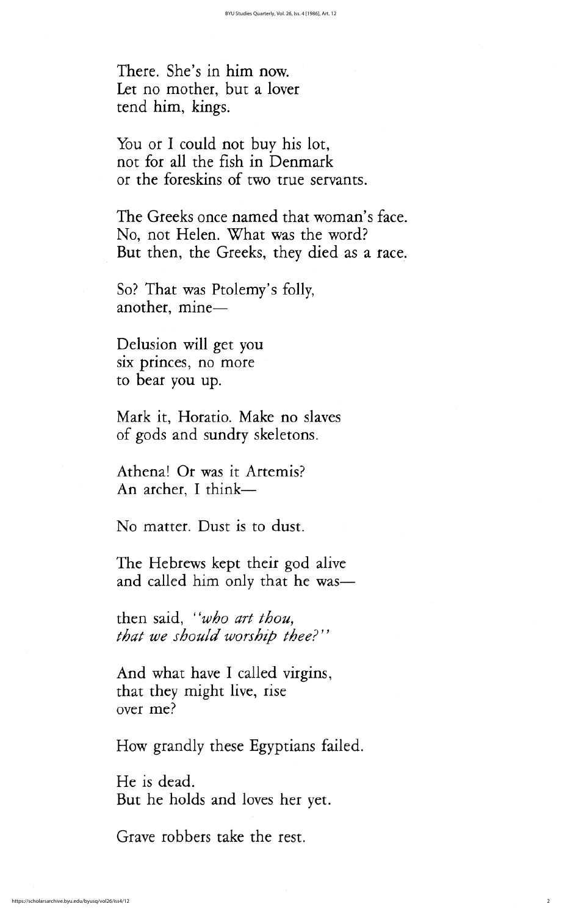Delusion will get you six princes, no more to bear you up

Mark it, Horatio. Make no slaves of gods and sundry skeletons

Athena! Or was it Artemis?

An archer, I think—

No matter. Dust is to dust.

The Hebrews kept their god alive and called him only that he was

then said, "who art thou, that we should worship thee?"

And what have I called virgins, that they might live, rise over me

How grandly these Egyptians failed.

He is dead. But he holds and loves her yet.

Grave robbers take the rest.

There. She's in him now. Let no mother, but a lover tend him, kings.

You or I could not buy his lot, not for all the fish in Denmark or the foreskins of two true servants.

The Greeks once named that woman's face. No, not Helen. What was the word? But then, the Greeks, they died as a race.

So? That was Ptolemy's folly, another, mine